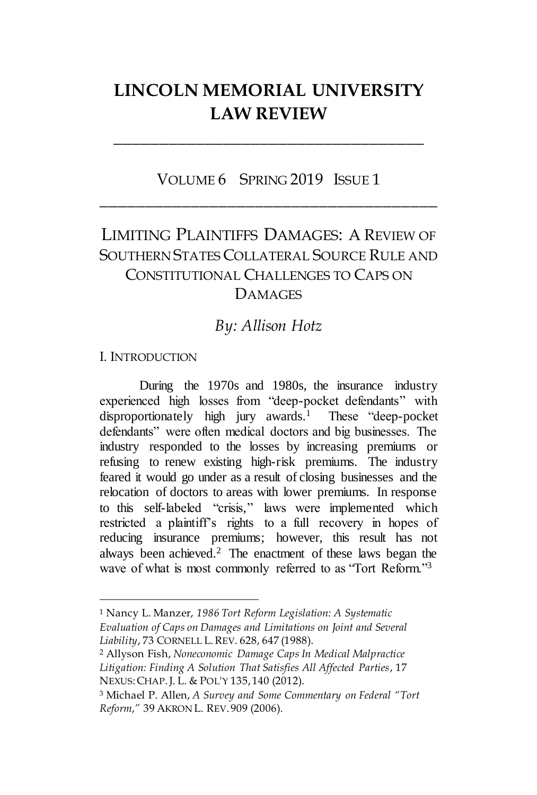# **LINCOLN MEMORIAL UNIVERSITY LAW REVIEW**

**\_\_\_\_\_\_\_\_\_\_\_\_\_\_\_\_\_\_\_\_\_\_\_\_\_\_\_\_\_\_\_\_\_\_**

## VOLUME 6 SPRING 2019 ISSUE 1 **\_\_\_\_\_\_\_\_\_\_\_\_\_\_\_\_\_\_\_\_\_\_\_\_\_\_\_\_\_\_\_\_\_\_\_\_\_**

## LIMITING PLAINTIFFS DAMAGES: A REVIEW OF SOUTHERN STATES COLLATERAL SOURCE RULE AND CONSTITUTIONAL CHALLENGES TO CAPS ON DAMAGES

## *By: Allison Hotz*

#### I. INTRODUCTION

 $\overline{a}$ 

During the 1970s and 1980s, the insurance industry experienced high losses from "deep-pocket defendants" with disproportionately high jury awards.<sup>1</sup> These "deep-pocket defendants" were often medical doctors and big businesses. The industry responded to the losses by increasing premiums or refusing to renew existing high-risk premiums. The industry feared it would go under as a result of closing businesses and the relocation of doctors to areas with lower premiums. In response to this self-labeled "crisis," laws were implemented which restricted a plaintiff's rights to a full recovery in hopes of reducing insurance premiums; however, this result has not always been achieved.<sup>2</sup> The enactment of these laws began the wave of what is most commonly referred to as "Tort Reform."<sup>3</sup>

<sup>1</sup> Nancy L. Manzer, *1986 Tort Reform Legislation: A Systematic Evaluation of Caps on Damages and Limitations on Joint and Several Liability*, 73 CORNELL L.REV. 628, 647 (1988).

<sup>2</sup> Allyson Fish, *Noneconomic Damage Caps In Medical Malpractice Litigation: Finding A Solution That Satisfies All Affected Parties*, 17 NEXUS:CHAP.J. L. & POL'Y 135, 140 (2012).

<sup>3</sup> Michael P. Allen, *A Survey and Some Commentary on Federal "Tort Reform*,*"* 39 AKRON L. REV. 909 (2006).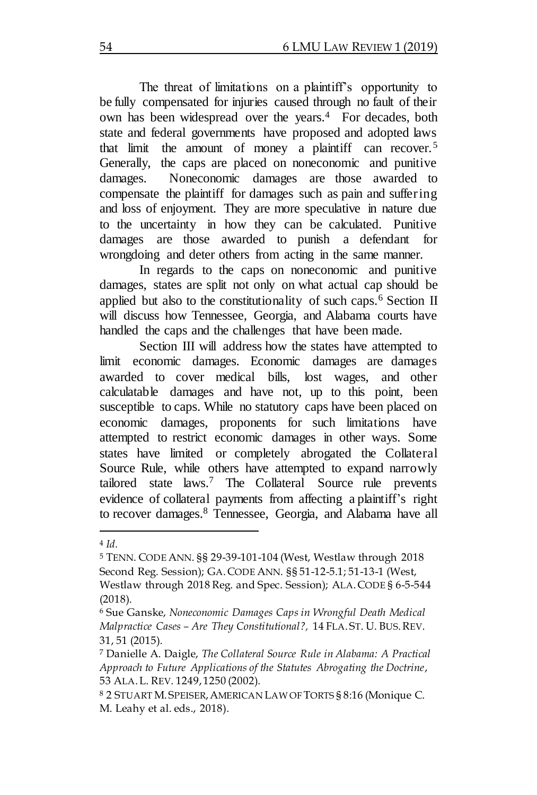The threat of limitations on a plaintiff's opportunity to be fully compensated for injuries caused through no fault of their own has been widespread over the years.<sup>4</sup> For decades, both state and federal governments have proposed and adopted laws that limit the amount of money a plaintiff can recover.<sup>5</sup> Generally, the caps are placed on noneconomic and punitive damages. Noneconomic damages are those awarded to compensate the plaintiff for damages such as pain and suffering and loss of enjoyment. They are more speculative in nature due to the uncertainty in how they can be calculated. Punitive damages are those awarded to punish a defendant for wrongdoing and deter others from acting in the same manner.

In regards to the caps on noneconomic and punitive damages, states are split not only on what actual cap should be applied but also to the constitutionality of such caps.<sup>6</sup> Section II will discuss how Tennessee, Georgia, and Alabama courts have handled the caps and the challenges that have been made.

Section III will address how the states have attempted to limit economic damages. Economic damages are damages awarded to cover medical bills, lost wages, and other calculatable damages and have not, up to this point, been susceptible to caps. While no statutory caps have been placed on economic damages, proponents for such limitations have attempted to restrict economic damages in other ways. Some states have limited or completely abrogated the Collateral Source Rule, while others have attempted to expand narrowly tailored state laws.<sup>7</sup> The Collateral Source rule prevents evidence of collateral payments from affecting a plaintiff's right to recover damages.<sup>8</sup> Tennessee, Georgia, and Alabama have all

 $\overline{a}$ <sup>4</sup> *Id.*

<sup>5</sup> TENN. CODE ANN. §§ 29-39-101-104 (West, Westlaw through 2018 Second Reg. Session); GA.CODE ANN. §§ 51-12-5.1; 51-13-1 (West, Westlaw through 2018 Reg. and Spec. Session); ALA.CODE § 6-5-544 (2018).

<sup>6</sup> Sue Ganske, *Noneconomic Damages Caps in Wrongful Death Medical Malpractice Cases – Are They Constitutional?,* 14 FLA. ST. U. BUS.REV. 31, 51 (2015).

<sup>7</sup> Danielle A. Daigle, *The Collateral Source Rule in Alabama: A Practical Approach to Future Applications of the Statutes Abrogating the Doctrine*, 53 ALA.L. REV. 1249, 1250 (2002).

<sup>8</sup> 2 STUART M. SPEISER,AMERICAN LAW OF TORTS § 8:16 (Monique C. M. Leahy et al. eds., 2018).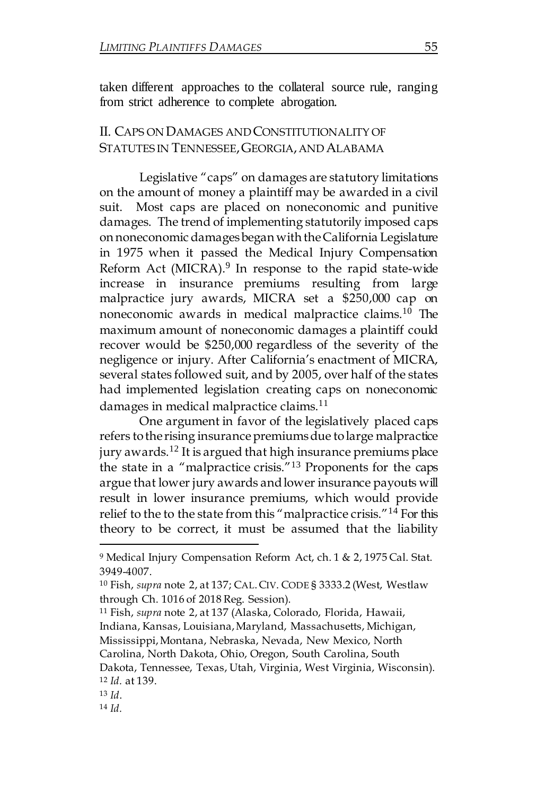taken different approaches to the collateral source rule, ranging from strict adherence to complete abrogation.

## II. CAPS ON DAMAGES ANDCONSTITUTIONALITY OF STATUTES IN TENNESSEE, GEORGIA, AND ALABAMA

Legislative "caps" on damages are statutory limitations on the amount of money a plaintiff may be awarded in a civil suit. Most caps are placed on noneconomic and punitive damages. The trend of implementing statutorily imposed caps on noneconomic damagesbegan with theCalifornia Legislature in 1975 when it passed the Medical Injury Compensation Reform Act (MICRA).<sup>9</sup> In response to the rapid state-wide increase in insurance premiums resulting from large malpractice jury awards, MICRA set a \$250,000 cap on noneconomic awards in medical malpractice claims. <sup>10</sup> The maximum amount of noneconomic damages a plaintiff could recover would be \$250,000 regardless of the severity of the negligence or injury. After California's enactment of MICRA, several states followed suit, and by 2005, over half of the states had implemented legislation creating caps on noneconomic damages in medical malpractice claims.<sup>11</sup>

One argument in favor of the legislatively placed caps refers to the rising insurance premiums due to large malpractice jury awards.<sup>12</sup> It is argued that high insurance premiums place the state in a "malpractice crisis."<sup>13</sup> Proponents for the caps argue that lower jury awards andlower insurance payouts will result in lower insurance premiums, which would provide relief to the to the state from this "malpractice crisis."<sup>14</sup> For this theory to be correct, it must be assumed that the liability

<sup>11</sup> Fish, *supra* note 2, at 137 (Alaska, Colorado, Florida, Hawaii, Indiana, Kansas, Louisiana, Maryland, Massachusetts, Michigan, Mississippi, Montana, Nebraska, Nevada, New Mexico, North Carolina, North Dakota, Ohio, Oregon, South Carolina, South

Dakota, Tennessee, Texas, Utah, Virginia, West Virginia, Wisconsin). <sup>12</sup> *Id.* at 139.

<sup>13</sup> *Id*.

 $\overline{a}$ 

<sup>14</sup> *Id.*

<sup>9</sup> Medical Injury Compensation Reform Act, ch. 1 & 2, 1975 Cal. Stat. 3949-4007.

<sup>10</sup> Fish, *supra* note 2, at 137; CAL.CIV. CODE § 3333.2 (West, Westlaw through Ch. 1016 of 2018 Reg. Session).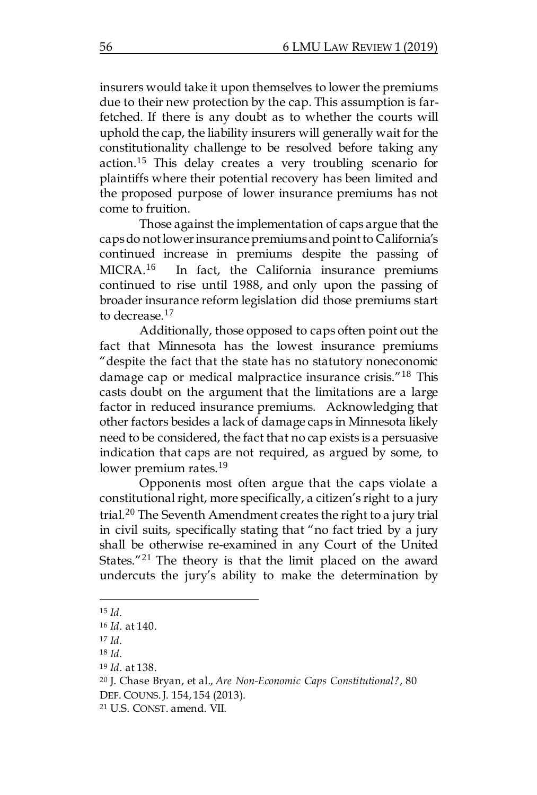insurers would take it upon themselves to lower the premiums due to their new protection by the cap. This assumption is farfetched. If there is any doubt as to whether the courts will uphold the cap, the liability insurers will generally wait for the constitutionality challenge to be resolved before taking any action.<sup>15</sup> This delay creates a very troubling scenario for plaintiffs where their potential recovery has been limited and the proposed purpose of lower insurance premiums has not come to fruition.

Those against the implementation of caps argue that the caps do not lower insurance premiums and point to California's continued increase in premiums despite the passing of MICRA.<sup>16</sup> In fact, the California insurance premiums continued to rise until 1988, and only upon the passing of broader insurance reform legislation did those premiums start to decrease.<sup>17</sup>

Additionally, those opposed to caps often point out the fact that Minnesota has the lowest insurance premiums "despite the fact that the state has no statutory noneconomic damage cap or medical malpractice insurance crisis."<sup>18</sup> This casts doubt on the argument that the limitations are a large factor in reduced insurance premiums. Acknowledging that other factors besides a lack of damage caps in Minnesota likely need to be considered, the fact that no cap exists is a persuasive indication that caps are not required, as argued by some, to lower premium rates.<sup>19</sup>

Opponents most often argue that the caps violate a constitutional right, more specifically, a citizen's right to a jury trial.<sup>20</sup> The Seventh Amendment creates the right to a jury trial in civil suits, specifically stating that "no fact tried by a jury shall be otherwise re-examined in any Court of the United States."<sup>21</sup> The theory is that the limit placed on the award undercuts the jury's ability to make the determination by

 $\overline{a}$ <sup>15</sup> *Id.*

<sup>16</sup> *Id*. at 140.

<sup>17</sup> *Id.*

<sup>18</sup> *Id.*

<sup>19</sup> *Id*. at 138.

<sup>20</sup> J. Chase Bryan, et al., *Are Non-Economic Caps Constitutional?*, 80

DEF. COUNS.J. 154, 154 (2013).

<sup>21</sup> U.S. CONST. amend. VII.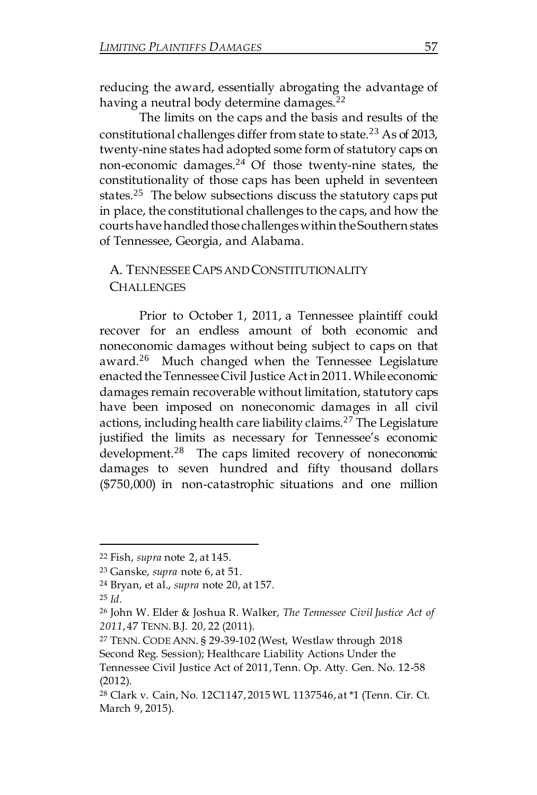reducing the award, essentially abrogating the advantage of having a neutral body determine damages.<sup>22</sup>

The limits on the caps and the basis and results of the constitutional challenges differ from state to state.<sup>23</sup> As of 2013, twenty-nine states had adopted some form of statutory caps on non-economic damages. $24$  Of those twenty-nine states, the constitutionality of those caps has been upheld in seventeen states.<sup>25</sup> The below subsections discuss the statutory caps put in place, the constitutional challenges to the caps, and how the courtshavehandledthose challengeswithin theSouthern states of Tennessee, Georgia, and Alabama.

## A. TENNESSEECAPS ANDCONSTITUTIONALITY **CHALLENGES**

Prior to October 1, 2011, a Tennessee plaintiff could recover for an endless amount of both economic and noneconomic damages without being subject to caps on that award.<sup>26</sup> Much changed when the Tennessee Legislature enacted the Tennessee Civil Justice Act in 2011. While economic damages remain recoverable without limitation, statutory caps have been imposed on noneconomic damages in all civil actions, including health care liability claims.<sup>27</sup> The Legislature justified the limits as necessary for Tennessee's economic development.<sup>28</sup> The caps limited recovery of noneconomic damages to seven hundred and fifty thousand dollars (\$750,000) in non-catastrophic situations and one million

<sup>22</sup> Fish, *supra* note 2, at 145.

<sup>23</sup> Ganske, *supra* note 6, at 51.

<sup>24</sup> Bryan, et al., *supra* note 20, at 157.

<sup>25</sup> *Id.*

<sup>26</sup> John W. Elder & Joshua R. Walker, *The Tennessee Civil Justice Act of 2011*, 47 TENN.B.J. 20, 22 (2011).

<sup>27</sup> TENN. CODE ANN. § 29-39-102 (West, Westlaw through 2018 Second Reg. Session); Healthcare Liability Actions Under the

Tennessee Civil Justice Act of 2011, Tenn. Op. Atty. Gen. No. 12-58 (2012).

<sup>28</sup> Clark v. Cain, No. 12C1147, 2015 WL 1137546, at \*1 (Tenn. Cir. Ct. March 9, 2015).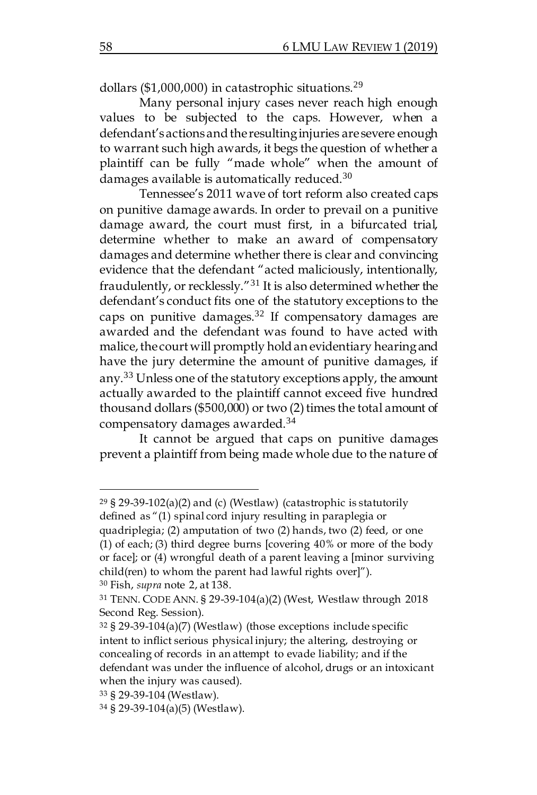dollars (\$1,000,000) in catastrophic situations.<sup>29</sup>

Many personal injury cases never reach high enough values to be subjected to the caps. However, when a defendant's actions and the resulting injuries are severe enough to warrant such high awards, it begs the question of whether a plaintiff can be fully "made whole" when the amount of damages available is automatically reduced. $30$ 

Tennessee's 2011 wave of tort reform also created caps on punitive damage awards. In order to prevail on a punitive damage award, the court must first, in a bifurcated trial, determine whether to make an award of compensatory damages and determine whether there is clear and convincing evidence that the defendant "acted maliciously, intentionally, fraudulently, or recklessly."<sup>31</sup> It is also determined whether the defendant's conduct fits one of the statutory exceptions to the caps on punitive damages.<sup>32</sup> If compensatory damages are awarded and the defendant was found to have acted with malice, the court will promptly hold an evidentiary hearing and have the jury determine the amount of punitive damages, if any.<sup>33</sup> Unless one of the statutory exceptions apply, the amount actually awarded to the plaintiff cannot exceed five hundred thousand dollars (\$500,000) or two  $(2)$  times the total amount of compensatory damages awarded.<sup>34</sup>

It cannot be argued that caps on punitive damages prevent a plaintiff from being made whole due to the nature of

<sup>&</sup>lt;sup>29</sup> § 29-39-102(a)(2) and (c) (Westlaw) (catastrophic is statutorily defined as "(1) spinal cord injury resulting in paraplegia or quadriplegia; (2) amputation of two (2) hands, two (2) feed, or one (1) of each; (3) third degree burns [covering 40% or more of the body or face]; or (4) wrongful death of a parent leaving a [minor surviving

child(ren) to whom the parent had lawful rights over]").

<sup>30</sup> Fish, *supra* note 2, at 138.

<sup>31</sup> TENN. CODE ANN. § 29-39-104(a)(2) (West, Westlaw through 2018 Second Reg. Session).

<sup>32</sup> § 29-39-104(a)(7) (Westlaw) (those exceptions include specific intent to inflict serious physical injury; the altering, destroying or concealing of records in an attempt to evade liability; and if the defendant was under the influence of alcohol, drugs or an intoxicant when the injury was caused).

<sup>33</sup> § 29-39-104 (Westlaw).

<sup>34</sup> § 29-39-104(a)(5) (Westlaw).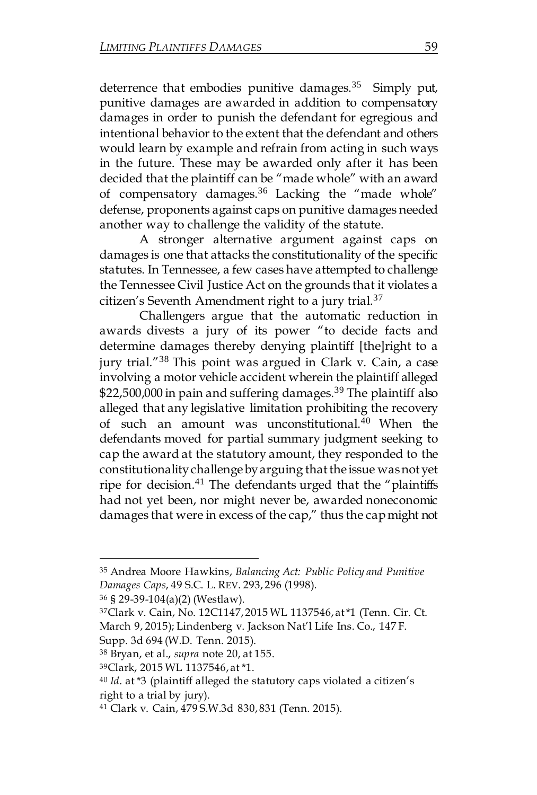deterrence that embodies punitive damages.<sup>35</sup> Simply put, punitive damages are awarded in addition to compensatory damages in order to punish the defendant for egregious and intentional behavior to the extent that the defendant and others would learn by example and refrain from acting in such ways in the future. These may be awarded only after it has been decided that the plaintiff can be "made whole" with an award of compensatory damages.<sup>36</sup> Lacking the "made whole" defense, proponents against caps on punitive damages needed another way to challenge the validity of the statute.

A stronger alternative argument against caps on damages is one that attacks the constitutionality of the specific statutes. In Tennessee, a few cases have attempted to challenge the Tennessee Civil Justice Act on the grounds that it violates a citizen's Seventh Amendment right to a jury trial.<sup>37</sup>

Challengers argue that the automatic reduction in awards divests a jury of its power "to decide facts and determine damages thereby denying plaintiff [the]right to a jury trial."<sup>38</sup> This point was argued in Clark v. Cain, a case involving a motor vehicle accident wherein the plaintiff alleged \$22,500,000 in pain and suffering damages.<sup>39</sup> The plaintiff also alleged that any legislative limitation prohibiting the recovery of such an amount was unconstitutional. <sup>40</sup> When the defendants moved for partial summary judgment seeking to cap the award at the statutory amount, they responded to the constitutionalitychallengebyarguing thatthe issue wasnot yet ripe for decision.<sup>41</sup> The defendants urged that the "plaintiffs had not yet been, nor might never be, awarded noneconomic damages that were in excess of the cap," thus the capmight not

<sup>36</sup> § 29-39-104(a)(2) (Westlaw).

 $\overline{a}$ 

Supp. 3d 694 (W.D. Tenn. 2015).

<sup>35</sup> Andrea Moore Hawkins, *Balancing Act: Public Policy and Punitive Damages Caps*, 49 S.C. L. REV. 293, 296 (1998).

<sup>37</sup>Clark v. Cain, No. 12C1147, 2015 WL 1137546, at \*1 (Tenn. Cir. Ct. March 9, 2015); Lindenberg v. Jackson Nat'l Life Ins. Co., 147 F.

<sup>38</sup> Bryan, et al., *supra* note 20, at 155.

<sup>39</sup>Clark, 2015 WL 1137546, at \*1.

<sup>40</sup> *Id*. at \*3 (plaintiff alleged the statutory caps violated a citizen's right to a trial by jury).

<sup>41</sup> Clark v. Cain, 479 S.W.3d 830, 831 (Tenn. 2015).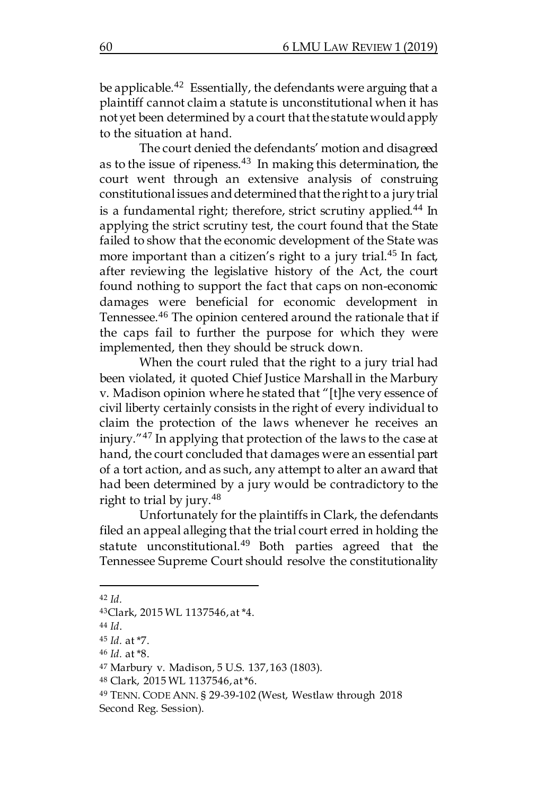be applicable.<sup>42</sup> Essentially, the defendants were arguing that a plaintiff cannot claim a statute is unconstitutional when it has not yet been determined by a court that the statute would apply to the situation at hand.

The court denied the defendants' motion and disagreed as to the issue of ripeness.<sup>43</sup> In making this determination, the court went through an extensive analysis of construing constitutional issues and determined that the right to a jury trial is a fundamental right; therefore, strict scrutiny applied.<sup>44</sup> In applying the strict scrutiny test, the court found that the State failed to show that the economic development of the State was more important than a citizen's right to a jury trial.<sup>45</sup> In fact, after reviewing the legislative history of the Act, the court found nothing to support the fact that caps on non-economic damages were beneficial for economic development in Tennessee.<sup>46</sup> The opinion centered around the rationale that if the caps fail to further the purpose for which they were implemented, then they should be struck down.

When the court ruled that the right to a jury trial had been violated, it quoted Chief Justice Marshall in the Marbury v. Madison opinion where he stated that "[t]he very essence of civil liberty certainly consists in the right of every individual to claim the protection of the laws whenever he receives an injury."<sup>47</sup> In applying that protection of the laws to the case at hand, the court concluded that damages were an essential part of a tort action, and as such, any attempt to alter an award that had been determined by a jury would be contradictory to the right to trial by jury. $48$ 

Unfortunately for the plaintiffs in Clark, the defendants filed an appeal alleging that the trial court erred in holding the statute unconstitutional.<sup>49</sup> Both parties agreed that the Tennessee Supreme Court should resolve the constitutionality

<sup>42</sup> *Id.*

<sup>43</sup>Clark, 2015 WL 1137546, at \*4.

<sup>44</sup> *Id*.

<sup>45</sup> *Id.* at \*7.

<sup>46</sup> *Id.* at \*8.

<sup>47</sup> Marbury v. Madison, 5 U.S. 137, 163 (1803).

<sup>48</sup> Clark, 2015 WL 1137546, at \*6.

<sup>49</sup> TENN. CODE ANN. § 29-39-102 (West, Westlaw through 2018 Second Reg. Session).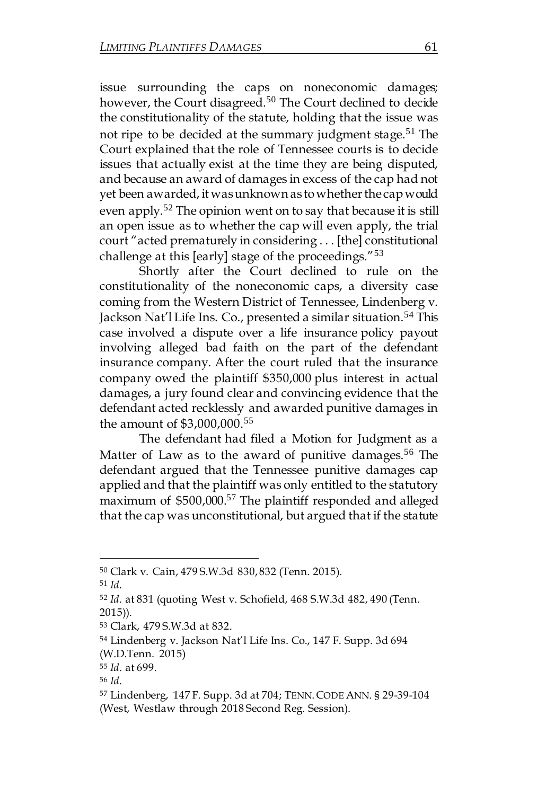issue surrounding the caps on noneconomic damages; however, the Court disagreed.<sup>50</sup> The Court declined to decide the constitutionality of the statute, holding that the issue was not ripe to be decided at the summary judgment stage.<sup>51</sup> The Court explained that the role of Tennessee courts is to decide issues that actually exist at the time they are being disputed, and because an award of damages in excess of the cap had not yet been awarded, it was unknown as to whether the cap would even apply.<sup>52</sup> The opinion went on to say that because it is still an open issue as to whether the cap will even apply, the trial court "acted prematurely in considering . . . [the] constitutional challenge at this [early] stage of the proceedings."<sup>53</sup>

Shortly after the Court declined to rule on the constitutionality of the noneconomic caps, a diversity case coming from the Western District of Tennessee, Lindenberg v. Jackson Nat'l Life Ins. Co., presented a similar situation.<sup>54</sup> This case involved a dispute over a life insurance policy payout involving alleged bad faith on the part of the defendant insurance company. After the court ruled that the insurance company owed the plaintiff \$350,000 plus interest in actual damages, a jury found clear and convincing evidence that the defendant acted recklessly and awarded punitive damages in the amount of \$3,000,000.<sup>55</sup>

The defendant had filed a Motion for Judgment as a Matter of Law as to the award of punitive damages.<sup>56</sup> The defendant argued that the Tennessee punitive damages cap applied and that the plaintiff was only entitled to the statutory maximum of \$500,000.<sup>57</sup> The plaintiff responded and alleged that the cap was unconstitutional, but argued that if the statute

<sup>50</sup> Clark v. Cain, 479 S.W.3d 830, 832 (Tenn. 2015).

<sup>51</sup> *Id.*

<sup>52</sup> *Id.* at 831 (quoting West v. Schofield, 468 S.W.3d 482, 490 (Tenn. 2015)).

<sup>53</sup> Clark, 479 S.W.3d at 832.

<sup>54</sup> Lindenberg v. Jackson Nat'l Life Ins. Co., 147 F. Supp. 3d 694

<sup>(</sup>W.D.Tenn. 2015)

<sup>55</sup> *Id.* at 699.

<sup>56</sup> *Id.*

<sup>57</sup> Lindenberg, 147 F. Supp. 3d at 704; TENN.CODE ANN. § 29-39-104 (West, Westlaw through 2018 Second Reg. Session).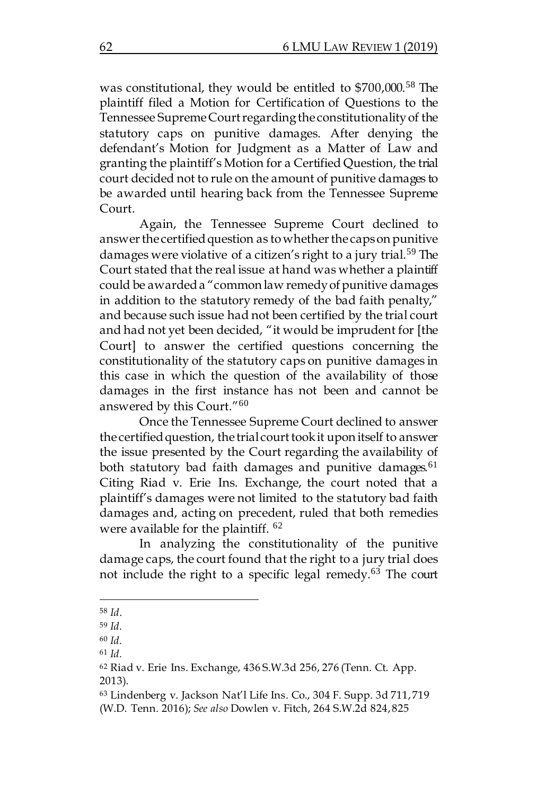was constitutional, they would be entitled to \$700,000.<sup>58</sup> The plaintiff filed a Motion for Certification of Questions to the Tennessee SupremeCourtregardingthe constitutionalityof the statutory caps on punitive damages. After denying the defendant's Motion for Judgment as a Matter of Law and granting the plaintiff's Motion for a Certified Question, the trial court decided not to rule on the amount of punitive damages to be awarded until hearing back from the Tennessee Supreme Court.

Again, the Tennessee Supreme Court declined to answer the certified question as to whether the caps on punitive damages were violative of a citizen's right to a jury trial.<sup>59</sup> The Court stated that the real issue at hand was whether a plaintiff could be awarded a "common law remedy of punitive damages in addition to the statutory remedy of the bad faith penalty," and because such issue had not been certified by the trial court and had not yet been decided, "it would be imprudent for [the Court] to answer the certified questions concerning the constitutionality of the statutory caps on punitive damages in this case in which the question of the availability of those damages in the first instance has not been and cannot be answered by this Court."<sup>60</sup>

Once the Tennessee Supreme Court declined to answer the certified question, the trial court took it upon itself to answer the issue presented by the Court regarding the availability of both statutory bad faith damages and punitive damages.<sup>61</sup> Citing Riad v. Erie Ins. Exchange, the court noted that a plaintiff's damages were not limited to the statutory bad faith damages and, acting on precedent, ruled that both remedies were available for the plaintiff. <sup>62</sup>

In analyzing the constitutionality of the punitive damage caps, the court found that the right to a jury trial does not include the right to a specific legal remedy.<sup>63</sup> The court

<sup>58</sup> *Id*.

<sup>59</sup> *Id.*

<sup>60</sup> *Id.* 

<sup>61</sup> *Id.*

<sup>62</sup> Riad v. Erie Ins. Exchange, 436 S.W.3d 256, 276 (Tenn. Ct. App. 2013).

<sup>63</sup> Lindenberg v. Jackson Nat'l Life Ins. Co., 304 F. Supp. 3d 711, 719 (W.D. Tenn. 2016); *See also* Dowlen v. Fitch, 264 S.W.2d 824, 825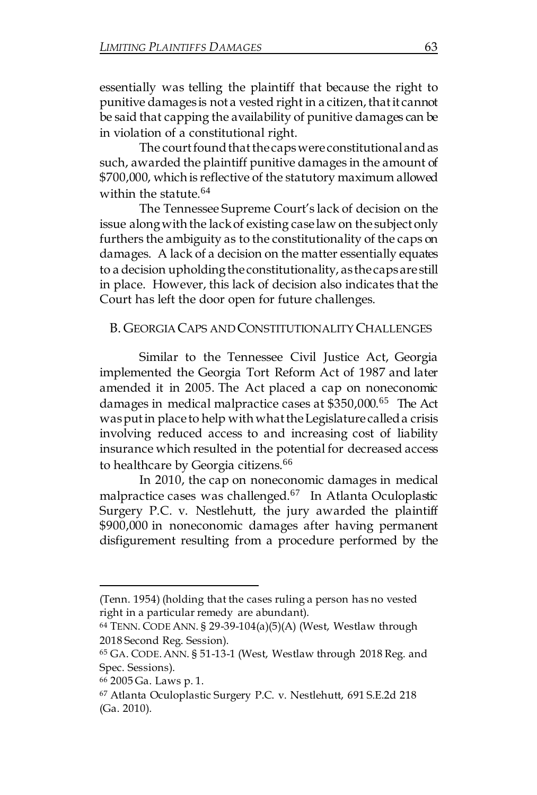essentially was telling the plaintiff that because the right to punitive damages is not a vested right in a citizen, that it cannot be said that capping the availability of punitive damages can be in violation of a constitutional right.

The court found that the caps were constitutional and as such, awarded the plaintiff punitive damages in the amount of \$700,000, which is reflective of the statutory maximum allowed within the statute.<sup>64</sup>

The Tennessee Supreme Court's lack of decision on the issue alongwith the lackof existing case law on the subject only furthers the ambiguity as to the constitutionality of the caps on damages. A lack of a decision on the matter essentially equates to a decision upholdingthe constitutionality, as the capsare still in place. However, this lack of decision also indicates that the Court has left the door open for future challenges.

#### B. GEORGIACAPS ANDCONSTITUTIONALITY CHALLENGES

Similar to the Tennessee Civil Justice Act, Georgia implemented the Georgia Tort Reform Act of 1987 and later amended it in 2005. The Act placed a cap on noneconomic damages in medical malpractice cases at \$350,000.<sup>65</sup> The Act was put in place to help with what the Legislature called a crisis involving reduced access to and increasing cost of liability insurance which resulted in the potential for decreased access to healthcare by Georgia citizens.<sup>66</sup>

In 2010, the cap on noneconomic damages in medical malpractice cases was challenged.<sup>67</sup> In Atlanta Oculoplastic Surgery P.C. v. Nestlehutt, the jury awarded the plaintiff \$900,000 in noneconomic damages after having permanent disfigurement resulting from a procedure performed by the

<sup>(</sup>Tenn. 1954) (holding that the cases ruling a person has no vested right in a particular remedy are abundant).

<sup>64</sup> TENN. CODE ANN. § 29-39-104(a)(5)(A) (West, Westlaw through 2018 Second Reg. Session).

<sup>65</sup> GA. CODE.ANN. § 51-13-1 (West, Westlaw through 2018 Reg. and Spec. Sessions).

<sup>66</sup> 2005 Ga. Laws p. 1.

<sup>67</sup> Atlanta Oculoplastic Surgery P.C. v. Nestlehutt, 691 S.E.2d 218 (Ga. 2010).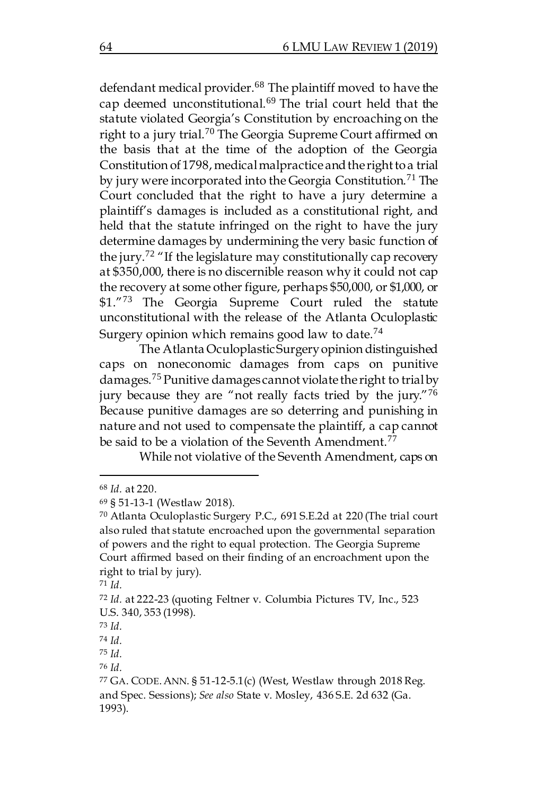defendant medical provider.<sup>68</sup> The plaintiff moved to have the cap deemed unconstitutional.<sup>69</sup> The trial court held that the statute violated Georgia's Constitution by encroaching on the right to a jury trial.<sup>70</sup> The Georgia Supreme Court affirmed on the basis that at the time of the adoption of the Georgia Constitution of 1798, medical malpractice and the right to a trial by jury were incorporated into the Georgia Constitution.<sup>71</sup> The Court concluded that the right to have a jury determine a plaintiff's damages is included as a constitutional right, and held that the statute infringed on the right to have the jury determine damages by undermining the very basic function of the jury.<sup>72</sup> "If the legislature may constitutionally cap recovery at \$350,000, there is no discernible reason why it could not cap the recovery at some other figure, perhaps \$50,000, or \$1,000, or \$1."73 The Georgia Supreme Court ruled the statute unconstitutional with the release of the Atlanta Oculoplastic Surgery opinion which remains good law to date.<sup>74</sup>

The Atlanta OculoplasticSurgeryopinion distinguished caps on noneconomic damages from caps on punitive damages.<sup>75</sup> Punitive damages cannot violate the right to trialby jury because they are "not really facts tried by the jury."76 Because punitive damages are so deterring and punishing in nature and not used to compensate the plaintiff, a cap cannot be said to be a violation of the Seventh Amendment.<sup>77</sup>

While not violative of the Seventh Amendment, caps on

<sup>68</sup> *Id.* at 220.

<sup>69</sup> § 51-13-1 (Westlaw 2018).

<sup>70</sup> Atlanta Oculoplastic Surgery P.C., 691 S.E.2d at 220 (The trial court also ruled that statute encroached upon the governmental separation of powers and the right to equal protection. The Georgia Supreme Court affirmed based on their finding of an encroachment upon the right to trial by jury).

<sup>71</sup> *Id.*

<sup>72</sup> *Id.* at 222-23 (quoting Feltner v. Columbia Pictures TV, Inc., 523 U.S. 340, 353 (1998).

<sup>73</sup> *Id.*

<sup>74</sup> *Id.*

<sup>75</sup> *Id.*

<sup>76</sup> *Id.* 

<sup>77</sup> GA. CODE.ANN. § 51-12-5.1(c) (West, Westlaw through 2018 Reg. and Spec. Sessions); *See also* State v. Mosley, 436 S.E. 2d 632 (Ga. 1993).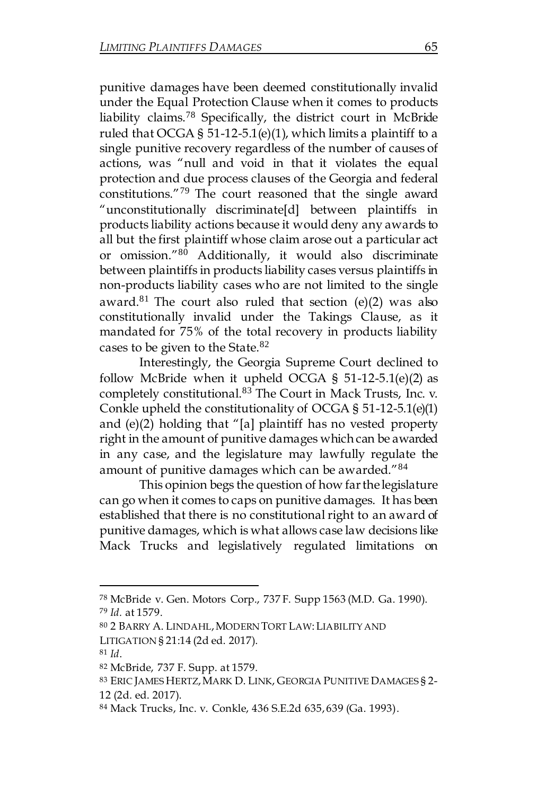punitive damages have been deemed constitutionally invalid under the Equal Protection Clause when it comes to products liability claims.<sup>78</sup> Specifically, the district court in McBride ruled that OCGA § 51-12-5.1(e)(1), which limits a plaintiff to a single punitive recovery regardless of the number of causes of actions, was "null and void in that it violates the equal protection and due process clauses of the Georgia and federal constitutions."<sup>79</sup> The court reasoned that the single award "unconstitutionally discriminate[d] between plaintiffs in products liability actions because it would deny any awards to all but the first plaintiff whose claim arose out a particular act or omission."<sup>80</sup> Additionally, it would also discriminate between plaintiffs in products liability cases versus plaintiffs in non-products liability cases who are not limited to the single award. $81$  The court also ruled that section (e)(2) was also constitutionally invalid under the Takings Clause, as it mandated for 75% of the total recovery in products liability cases to be given to the State.<sup>82</sup>

Interestingly, the Georgia Supreme Court declined to follow McBride when it upheld OCGA §  $51-12-5.1(e)(2)$  as completely constitutional.<sup>83</sup> The Court in Mack Trusts, Inc. v. Conkle upheld the constitutionality of OCGA § 51-12-5.1(e)(1) and (e)(2) holding that "[a] plaintiff has no vested property right in the amount of punitive damages which can be awarded in any case, and the legislature may lawfully regulate the amount of punitive damages which can be awarded."<sup>84</sup>

This opinion begs the question of how farthe legislature can go when it comes to caps on punitive damages. It has been established that there is no constitutional right to an award of punitive damages, which is what allows case law decisions like Mack Trucks and legislatively regulated limitations on

<sup>78</sup> McBride v. Gen. Motors Corp., 737 F. Supp 1563 (M.D. Ga. 1990). <sup>79</sup> *Id.* at 1579.

<sup>80</sup> 2 BARRY A. LINDAHL,MODERN TORT LAW:LIABILITY AND LITIGATION § 21:14 (2d ed. 2017).

<sup>81</sup> *Id*.

<sup>82</sup> McBride, 737 F. Supp. at 1579.

<sup>83</sup> ERIC JAMES HERTZ,MARK D. LINK, GEORGIA PUNITIVE DAMAGES § 2- 12 (2d. ed. 2017).

<sup>84</sup> Mack Trucks, Inc. v. Conkle, 436 S.E.2d 635, 639 (Ga. 1993).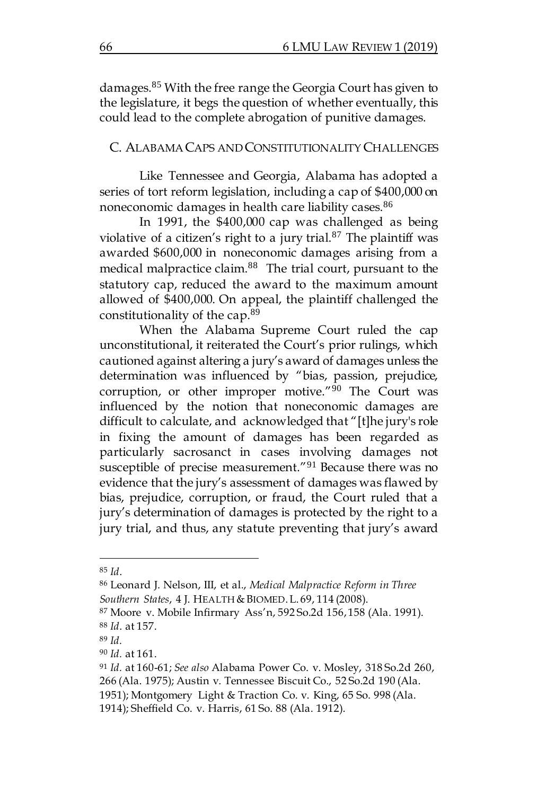damages.<sup>85</sup> With the free range the Georgia Court has given to the legislature, it begs the question of whether eventually, this could lead to the complete abrogation of punitive damages.

#### C. ALABAMACAPS ANDCONSTITUTIONALITY CHALLENGES

Like Tennessee and Georgia, Alabama has adopted a series of tort reform legislation, including a cap of \$400,000 on noneconomic damages in health care liability cases.<sup>86</sup>

In 1991, the \$400,000 cap was challenged as being violative of a citizen's right to a jury trial. $87$  The plaintiff was awarded \$600,000 in noneconomic damages arising from a medical malpractice claim.<sup>88</sup> The trial court, pursuant to the statutory cap, reduced the award to the maximum amount allowed of \$400,000. On appeal, the plaintiff challenged the constitutionality of the cap.<sup>89</sup>

When the Alabama Supreme Court ruled the cap unconstitutional, it reiterated the Court's prior rulings, which cautioned against altering a jury's award of damages unless the determination was influenced by "bias, passion, prejudice, corruption, or other improper motive."<sup>90</sup> The Court was influenced by the notion that noneconomic damages are difficult to calculate, and acknowledged that "[t]he jury's role in fixing the amount of damages has been regarded as particularly sacrosanct in cases involving damages not susceptible of precise measurement."<sup>91</sup> Because there was no evidence that the jury's assessment of damages was flawed by bias, prejudice, corruption, or fraud, the Court ruled that a jury's determination of damages is protected by the right to a jury trial, and thus, any statute preventing that jury's award

<sup>85</sup> *Id*.

<sup>86</sup> Leonard J. Nelson, III, et al., *Medical Malpractice Reform in Three*  Southern States, 4 J. HEALTH & BIOMED. L. 69, 114 (2008).

<sup>87</sup> Moore v. Mobile Infirmary Ass'n, 592 So.2d 156, 158 (Ala. 1991). <sup>88</sup> *Id*. at 157.

<sup>89</sup> *Id.*

<sup>90</sup> *Id.* at 161.

<sup>91</sup> *Id.* at 160-61; *See also* Alabama Power Co. v. Mosley, 318 So.2d 260, 266 (Ala. 1975); Austin v. Tennessee Biscuit Co., 52 So.2d 190 (Ala.

<sup>1951);</sup> Montgomery Light & Traction Co. v. King, 65 So. 998 (Ala.

<sup>1914);</sup> Sheffield Co. v. Harris, 61 So. 88 (Ala. 1912).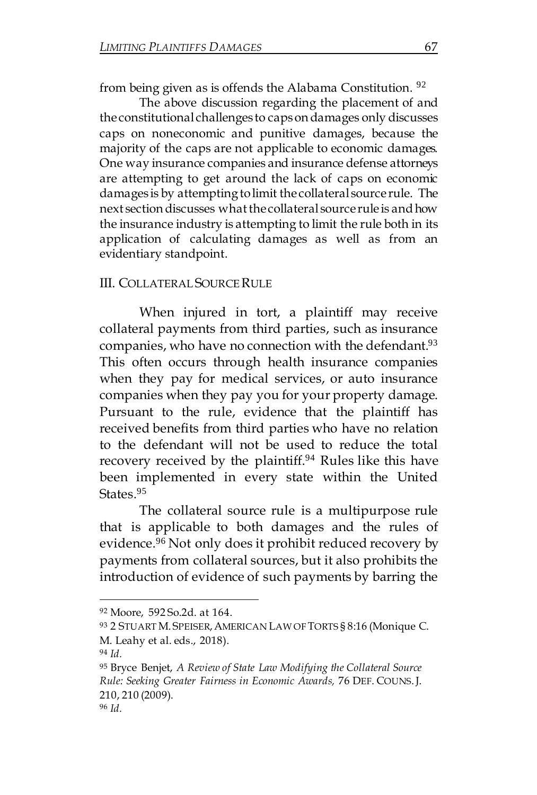from being given as is offends the Alabama Constitution. <sup>92</sup>

The above discussion regarding the placement of and the constitutional challenges to capson damages only discusses caps on noneconomic and punitive damages, because the majority of the caps are not applicable to economic damages. One way insurance companies and insurance defense attorneys are attempting to get around the lack of caps on economic damages is by attempting to limit the collateral source rule. The next section discusses what the collateral source rule is and how the insurance industry is attempting to limit the rule both in its application of calculating damages as well as from an evidentiary standpoint.

#### III. COLLATERAL SOURCERULE

When injured in tort, a plaintiff may receive collateral payments from third parties, such as insurance companies, who have no connection with the defendant.<sup>93</sup> This often occurs through health insurance companies when they pay for medical services, or auto insurance companies when they pay you for your property damage. Pursuant to the rule, evidence that the plaintiff has received benefits from third parties who have no relation to the defendant will not be used to reduce the total recovery received by the plaintiff.<sup>94</sup> Rules like this have been implemented in every state within the United States.<sup>95</sup>

The collateral source rule is a multipurpose rule that is applicable to both damages and the rules of evidence.<sup>96</sup> Not only does it prohibit reduced recovery by payments from collateral sources, but it also prohibits the introduction of evidence of such payments by barring the

<sup>92</sup> Moore, 592 So.2d. at 164.

<sup>93 2</sup> STUART M. SPEISER, AMERICAN LAW OF TORTS § 8:16 (Monique C. M. Leahy et al. eds., 2018).

<sup>94</sup> *Id.*

<sup>95</sup> Bryce Benjet, *A Review of State Law Modifying the Collateral Source Rule: Seeking Greater Fairness in Economic Awards,* 76 DEF. COUNS.J. 210, 210 (2009). <sup>96</sup> *Id.*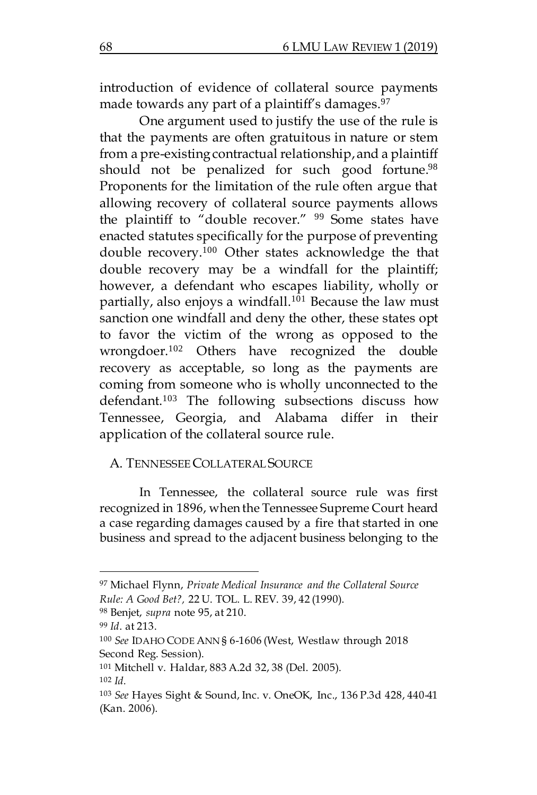introduction of evidence of collateral source payments made towards any part of a plaintiff's damages.<sup>97</sup>

One argument used to justify the use of the rule is that the payments are often gratuitous in nature or stem from a pre-existing contractual relationship,and a plaintiff should not be penalized for such good fortune.<sup>98</sup> Proponents for the limitation of the rule often argue that allowing recovery of collateral source payments allows the plaintiff to "double recover." <sup>99</sup> Some states have enacted statutes specifically forthe purpose of preventing double recovery.<sup>100</sup> Other states acknowledge the that double recovery may be a windfall for the plaintiff; however, a defendant who escapes liability, wholly or partially, also enjoys a windfall.<sup>101</sup> Because the law must sanction one windfall and deny the other, these states opt to favor the victim of the wrong as opposed to the wrongdoer.<sup>102</sup> Others have recognized the double recovery as acceptable, so long as the payments are coming from someone who is wholly unconnected to the defendant.<sup>103</sup> The following subsections discuss how Tennessee, Georgia, and Alabama differ in their application of the collateral source rule.

## A. TENNESSEECOLLATERAL SOURCE

In Tennessee, the collateral source rule was first recognized in 1896, when the Tennessee Supreme Court heard a case regarding damages caused by a fire that started in one business and spread to the adjacent business belonging to the

<sup>97</sup> Michael Flynn, *Private Medical Insurance and the Collateral Source* 

*Rule: A Good Bet?,* 22 U. TOL. L. REV. 39, 42 (1990).

<sup>98</sup> Benjet, *supra* note 95, at 210.

<sup>99</sup> *Id*. at 213.

<sup>100</sup> *See* IDAHO CODE ANN § 6-1606 (West, Westlaw through 2018 Second Reg. Session).

<sup>101</sup> Mitchell v. Haldar, 883 A.2d 32, 38 (Del. 2005). <sup>102</sup> *Id.* 

<sup>103</sup> *See* Hayes Sight & Sound, Inc. v. OneOK, Inc., 136 P.3d 428, 440-41 (Kan. 2006).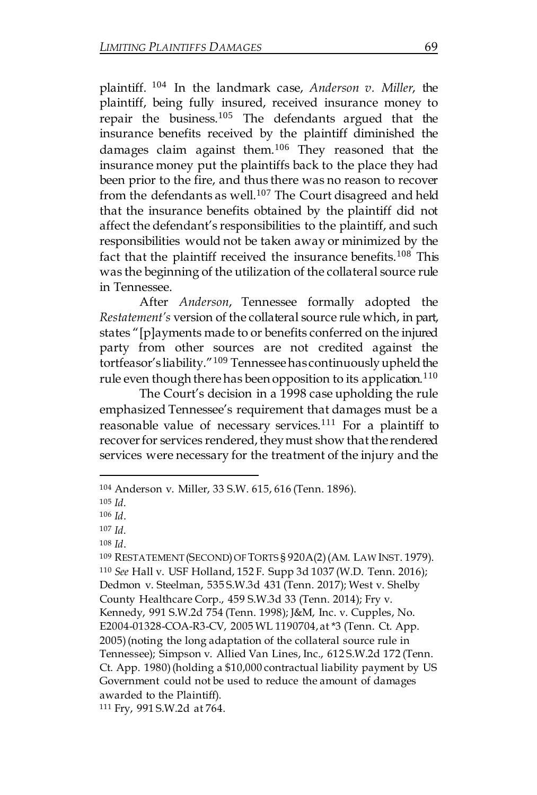plaintiff. <sup>104</sup> In the landmark case, *Anderson v. Miller*, the plaintiff, being fully insured, received insurance money to repair the business.<sup>105</sup> The defendants argued that the insurance benefits received by the plaintiff diminished the damages claim against them.<sup>106</sup> They reasoned that the insurance money put the plaintiffs back to the place they had been prior to the fire, and thus there was no reason to recover from the defendants as well.<sup>107</sup> The Court disagreed and held that the insurance benefits obtained by the plaintiff did not affect the defendant's responsibilities to the plaintiff, and such responsibilities would not be taken away or minimized by the fact that the plaintiff received the insurance benefits.<sup>108</sup> This was the beginning of the utilization of the collateral source rule in Tennessee.

After *Anderson*, Tennessee formally adopted the *Restatement's* version of the collateral source rule which, in part, states "[p]ayments made to or benefits conferred on the injured party from other sources are not credited against the tortfeasor's liability."<sup>109</sup> Tennessee has continuously upheld the rule even though there has been opposition to its application.<sup>110</sup>

The Court's decision in a 1998 case upholding the rule emphasized Tennessee's requirement that damages must be a reasonable value of necessary services.<sup>111</sup> For a plaintiff to recover for services rendered, they must show that the rendered services were necessary for the treatment of the injury and the

 $\overline{a}$ 

<sup>109</sup> RESTATEMENT (SECOND)OF TORTS § 920A(2) (AM. LAW INST. 1979). <sup>110</sup> *See* Hall v. USF Holland, 152 F. Supp 3d 1037 (W.D. Tenn. 2016); Dedmon v. Steelman, 535 S.W.3d 431 (Tenn. 2017); West v. Shelby County Healthcare Corp., 459 S.W.3d 33 (Tenn. 2014); Fry v. Kennedy, 991 S.W.2d 754 (Tenn. 1998); J&M, Inc. v. Cupples, No. E2004-01328-COA-R3-CV, 2005 WL 1190704, at \*3 (Tenn. Ct. App. 2005) (noting the long adaptation of the collateral source rule in Tennessee); Simpson v. Allied Van Lines, Inc., 612 S.W.2d 172 (Tenn. Ct. App. 1980) (holding a \$10,000 contractual liability payment by US Government could not be used to reduce the amount of damages awarded to the Plaintiff).

<sup>111</sup> Fry, 991 S.W.2d at 764.

<sup>104</sup> Anderson v. Miller, 33 S.W. 615, 616 (Tenn. 1896).

<sup>105</sup> *Id.*

<sup>106</sup> *Id*.

<sup>107</sup> *Id.*

<sup>108</sup> *Id*.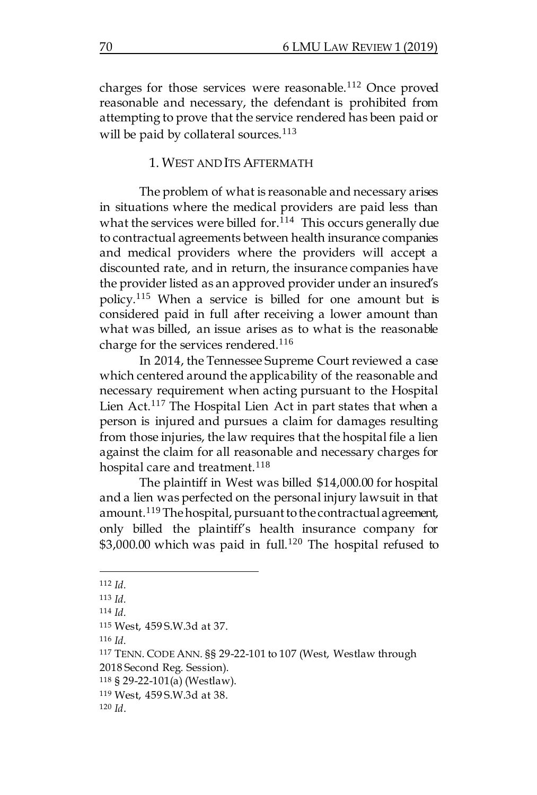charges for those services were reasonable.<sup>112</sup> Once proved reasonable and necessary, the defendant is prohibited from attempting to prove that the service rendered has been paid or will be paid by collateral sources. $113$ 

#### 1. WEST ANDITS AFTERMATH

The problem of what is reasonable and necessary arises in situations where the medical providers are paid less than what the services were billed for.<sup>114</sup> This occurs generally due to contractual agreements between health insurance companies and medical providers where the providers will accept a discounted rate, and in return, the insurance companies have the provider listed as an approved provider under an insured's policy.<sup>115</sup> When a service is billed for one amount but is considered paid in full after receiving a lower amount than what was billed, an issue arises as to what is the reasonable charge for the services rendered.<sup>116</sup>

In 2014, the Tennessee Supreme Court reviewed a case which centered around the applicability of the reasonable and necessary requirement when acting pursuant to the Hospital Lien Act.<sup>117</sup> The Hospital Lien Act in part states that when a person is injured and pursues a claim for damages resulting from those injuries, the law requires that the hospital file a lien against the claim for all reasonable and necessary charges for hospital care and treatment.<sup>118</sup>

The plaintiff in West was billed \$14,000.00 for hospital and a lien was perfected on the personal injury lawsuit in that amount.<sup>119</sup> The hospital, pursuant to the contractual agreement, only billed the plaintiff's health insurance company for  $$3,000.00$  which was paid in full.<sup>120</sup> The hospital refused to

 $\overline{a}$ 

<sup>116</sup> *Id.*

<sup>112</sup> *Id.*

 $113$  *Id.* 

<sup>114</sup> *Id.*

<sup>115</sup> West, 459 S.W.3d at 37.

<sup>117</sup> TENN. CODE ANN. §§ 29-22-101 to 107 (West, Westlaw through 2018 Second Reg. Session).

<sup>118</sup> § 29-22-101(a) (Westlaw).

<sup>119</sup> West, 459 S.W.3d at 38.

<sup>120</sup> *Id*.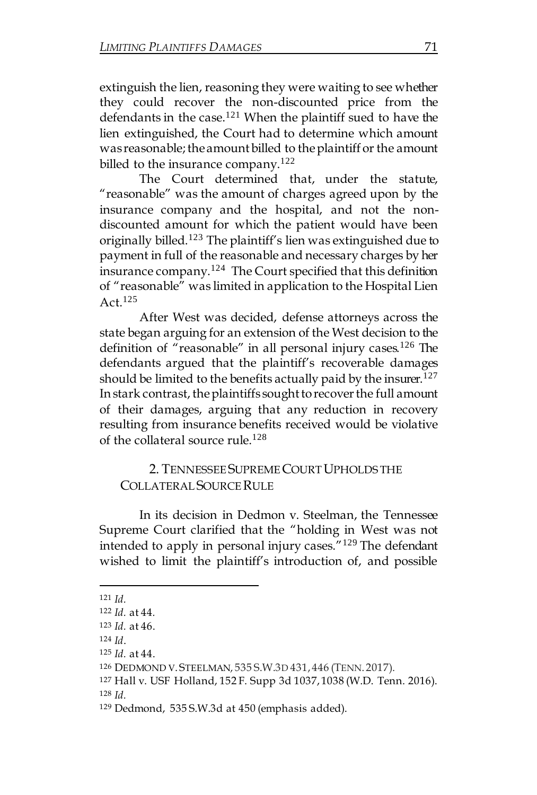extinguish the lien, reasoning they were waiting to see whether they could recover the non-discounted price from the defendants in the case.<sup>121</sup> When the plaintiff sued to have the lien extinguished, the Court had to determine which amount was reasonable; the amount billed to the plaintiff or the amount billed to the insurance company.<sup>122</sup>

The Court determined that, under the statute, "reasonable" was the amount of charges agreed upon by the insurance company and the hospital, and not the nondiscounted amount for which the patient would have been originally billed.<sup>123</sup> The plaintiff's lien was extinguished due to payment in full of the reasonable and necessary charges by her insurance company.<sup>124</sup> The Court specified that this definition of "reasonable" was limited in application to the Hospital Lien Act  $125$ 

After West was decided, defense attorneys across the state began arguing for an extension of the West decision to the definition of "reasonable" in all personal injury cases.<sup>126</sup> The defendants argued that the plaintiff's recoverable damages should be limited to the benefits actually paid by the insurer.<sup>127</sup> In stark contrast, the plaintiffs sought to recover the full amount of their damages, arguing that any reduction in recovery resulting from insurance benefits received would be violative of the collateral source rule. 128

## 2. TENNESSEE SUPREME COURT UPHOLDS THE COLLATERAL SOURCE RULE

In its decision in Dedmon v. Steelman, the Tennessee Supreme Court clarified that the "holding in West was not intended to apply in personal injury cases."<sup>129</sup> The defendant wished to limit the plaintiff's introduction of, and possible

<sup>121</sup> *Id.*

<sup>122</sup> *Id.* at 44*.*

<sup>123</sup> *Id.* at 46.

<sup>124</sup> *Id*.

<sup>125</sup> *Id.* at 44.

<sup>126</sup> DEDMOND V. STEELMAN*,* 535 S.W.3D 431, 446 (TENN. 2017).

<sup>127</sup> Hall v. USF Holland, 152 F. Supp 3d 1037, 1038 (W.D. Tenn. 2016). <sup>128</sup> *Id.*

<sup>129</sup> Dedmond, 535 S.W.3d at 450 (emphasis added).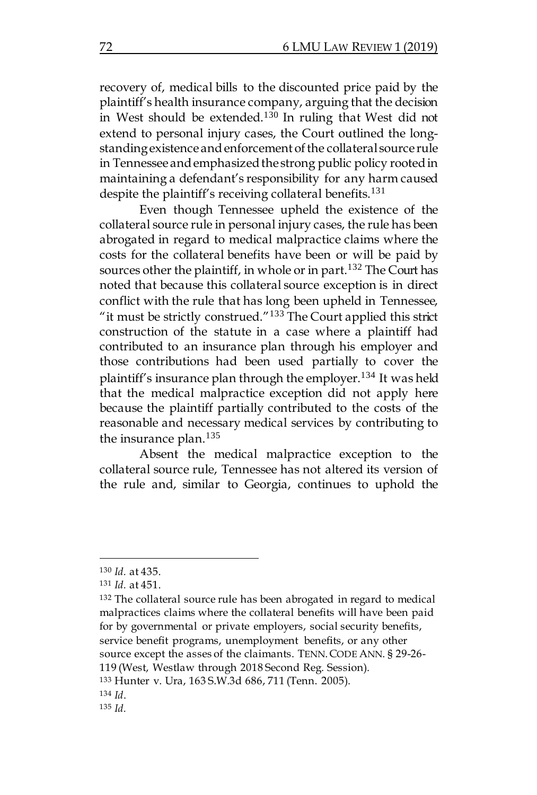recovery of, medical bills to the discounted price paid by the plaintiff's health insurance company, arguing that the decision in West should be extended.<sup>130</sup> In ruling that West did not extend to personal injury cases, the Court outlined the longstanding existence and enforcement of the collateral source rule in Tennessee and emphasized the strong public policy rooted in maintaining a defendant's responsibility for any harm caused despite the plaintiff's receiving collateral benefits.<sup>131</sup>

Even though Tennessee upheld the existence of the collateral source rule in personal injury cases, the rule has been abrogated in regard to medical malpractice claims where the costs for the collateral benefits have been or will be paid by sources other the plaintiff, in whole or in part.<sup>132</sup> The Court has noted that because this collateral source exception is in direct conflict with the rule that has long been upheld in Tennessee, "it must be strictly construed." $133$  The Court applied this strict construction of the statute in a case where a plaintiff had contributed to an insurance plan through his employer and those contributions had been used partially to cover the plaintiff's insurance plan through the employer.<sup>134</sup> It was held that the medical malpractice exception did not apply here because the plaintiff partially contributed to the costs of the reasonable and necessary medical services by contributing to the insurance plan.<sup>135</sup>

Absent the medical malpractice exception to the collateral source rule, Tennessee has not altered its version of the rule and, similar to Georgia, continues to uphold the

 $\overline{a}$ 

<sup>133</sup> Hunter v. Ura, 163 S.W.3d 686, 711 (Tenn. 2005).

<sup>134</sup> *Id*.

<sup>135</sup> *Id.*

<sup>130</sup> *Id.* at 435.

<sup>131</sup> *Id.* at 451.

<sup>&</sup>lt;sup>132</sup> The collateral source rule has been abrogated in regard to medical malpractices claims where the collateral benefits will have been paid for by governmental or private employers, social security benefits, service benefit programs, unemployment benefits, or any other source except the asses of the claimants. TENN. CODE ANN. § 29-26-119 (West, Westlaw through 2018 Second Reg. Session).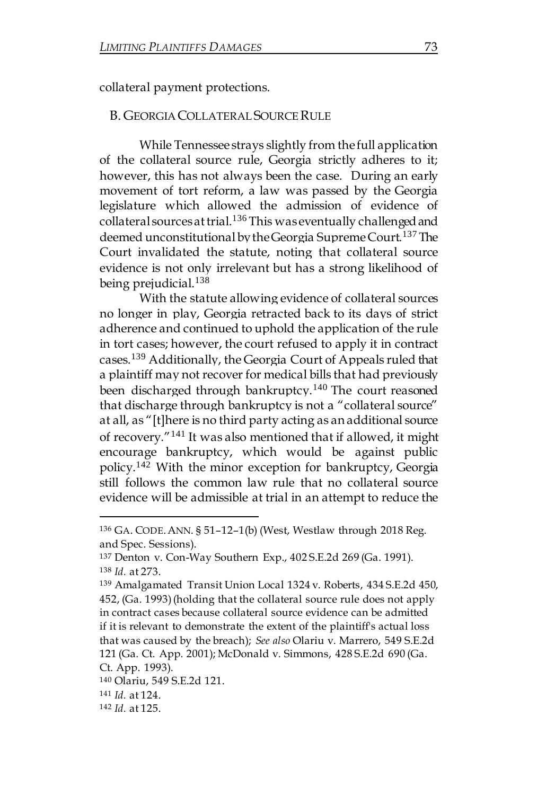collateral payment protections.

#### **B. GEORGIA COLLATERAL SOURCE RULE**

While Tennessee strays slightly from the full application of the collateral source rule, Georgia strictly adheres to it; however, this has not always been the case. During an early movement of tort reform, a law was passed by the Georgia legislature which allowed the admission of evidence of collateral sources at trial.<sup>136</sup> This was eventually challenged and deemed unconstitutional by the Georgia Supreme Court.<sup>137</sup> The Court invalidated the statute, noting that collateral source evidence is not only irrelevant but has a strong likelihood of being prejudicial.<sup>138</sup>

With the statute allowing evidence of collateral sources no longer in play, Georgia retracted back to its days of strict adherence and continued to uphold the application of the rule in tort cases; however, the court refused to apply it in contract cases.<sup>139</sup> Additionally, the Georgia Court of Appeals ruled that a plaintiff may not recover for medical bills that had previously been discharged through bankruptcy.<sup>140</sup> The court reasoned that discharge through bankruptcy is not a "collateral source" at all, as "[t]here is no third party acting as an additional source of recovery."<sup>141</sup> It was also mentioned that if allowed, it might encourage bankruptcy, which would be against public policy.<sup>142</sup> With the minor exception for bankruptcy, Georgia still follows the common law rule that no collateral source evidence will be admissible at trial in an attempt to reduce the

<sup>136</sup> GA. CODE.ANN. § 51–12–1(b) (West, Westlaw through 2018 Reg. and Spec. Sessions).

<sup>137</sup> Denton v. Con-Way Southern Exp., 402 S.E.2d 269 (Ga. 1991). <sup>138</sup> *Id.* at 273.

<sup>139</sup> Amalgamated Transit Union Local 1324 v. Roberts, 434 S.E.2d 450, 452, (Ga. 1993) (holding that the collateral source rule does not apply in contract cases because collateral source evidence can be admitted if it is relevant to demonstrate the extent of the plaintiff's actual loss that was caused by the breach); *See also* Olariu v. Marrero, 549 S.E.2d 121 (Ga. Ct. App. 2001); McDonald v. Simmons, 428 S.E.2d 690 (Ga. Ct. App. 1993).

<sup>140</sup> Olariu, 549 S.E.2d 121.

<sup>141</sup> *Id.* at 124.

<sup>142</sup> *Id.* at 125.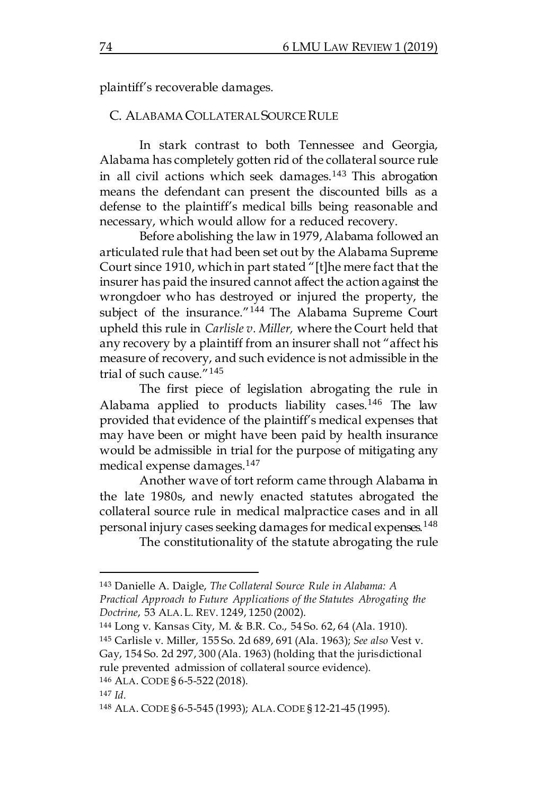plaintiff's recoverable damages.

#### C. ALABAMA COLLATERAL SOURCE RULE

In stark contrast to both Tennessee and Georgia, Alabama has completely gotten rid of the collateral source rule in all civil actions which seek damages.<sup>143</sup> This abrogation means the defendant can present the discounted bills as a defense to the plaintiff's medical bills being reasonable and necessary, which would allow for a reduced recovery.

Before abolishing the law in 1979, Alabama followed an articulated rule that had been set out by the Alabama Supreme Court since 1910, which in part stated "[t]he mere fact that the insurer has paid the insured cannot affect the action against the wrongdoer who has destroyed or injured the property, the subject of the insurance."<sup>144</sup> The Alabama Supreme Court upheld this rule in *Carlisle v. Miller,* where the Court held that any recovery by a plaintiff from an insurer shall not "affect his measure of recovery, and such evidence is not admissible in the trial of such cause."<sup>145</sup>

The first piece of legislation abrogating the rule in Alabama applied to products liability cases.<sup>146</sup> The law provided that evidence of the plaintiff's medical expenses that may have been or might have been paid by health insurance would be admissible in trial for the purpose of mitigating any medical expense damages.<sup>147</sup>

Another wave of tort reform came through Alabama in the late 1980s, and newly enacted statutes abrogated the collateral source rule in medical malpractice cases and in all personal injury cases seeking damages for medical expenses.<sup>148</sup>

The constitutionality of the statute abrogating the rule

<sup>144</sup> Long v. Kansas City, M. & B.R. Co., 54 So. 62, 64 (Ala. 1910).

<sup>145</sup> Carlisle v. Miller, 155 So. 2d 689, 691 (Ala. 1963); *See also* Vest v. Gay, 154 So. 2d 297, 300 (Ala. 1963) (holding that the jurisdictional rule prevented admission of collateral source evidence).

<sup>143</sup> Danielle A. Daigle, *The Collateral Source Rule in Alabama: A Practical Approach to Future Applications of the Statutes Abrogating the Doctrine*, 53 ALA.L. REV. 1249, 1250 (2002).

<sup>146</sup> ALA. CODE § 6-5-522 (2018).

<sup>147</sup> *Id.*

<sup>148</sup> ALA. CODE § 6-5-545 (1993); ALA.CODE § 12-21-45 (1995).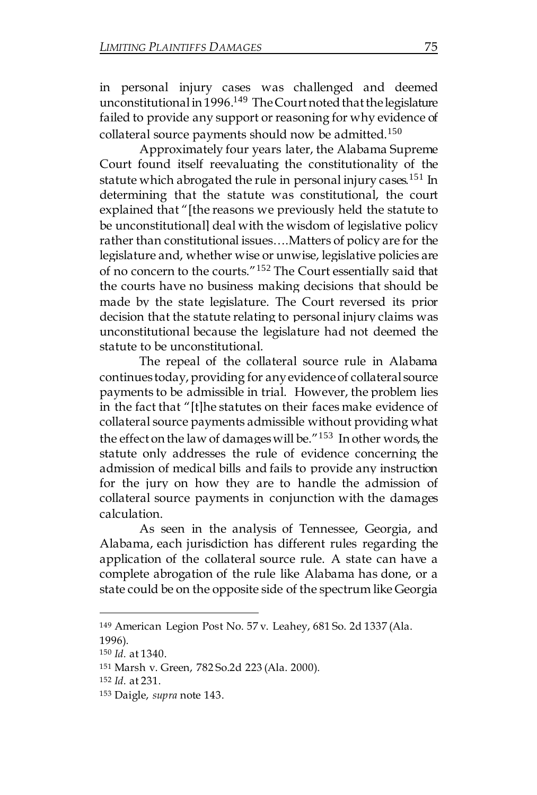in personal injury cases was challenged and deemed unconstitutional in 1996.<sup>149</sup> The Court noted that the legislature failed to provide any support or reasoning for why evidence of collateral source payments should now be admitted.<sup>150</sup>

Approximately four years later, the Alabama Supreme Court found itself reevaluating the constitutionality of the statute which abrogated the rule in personal injury cases.<sup>151</sup> In determining that the statute was constitutional, the court explained that "[the reasons we previously held the statute to be unconstitutional] deal with the wisdom of legislative policy rather than constitutional issues….Matters of policy are for the legislature and, whether wise or unwise, legislative policies are of no concern to the courts."<sup>152</sup> The Court essentially said that the courts have no business making decisions that should be made by the state legislature. The Court reversed its prior decision that the statute relating to personal injury claims was unconstitutional because the legislature had not deemed the statute to be unconstitutional.

The repeal of the collateral source rule in Alabama continues today, providing for anyevidenceof collateral source payments to be admissible in trial. However, the problem lies in the fact that "[t]he statutes on their faces make evidence of collateral source payments admissible without providing what the effect on the law of damages will be.<sup>"153</sup> In other words, the statute only addresses the rule of evidence concerning the admission of medical bills and fails to provide any instruction for the jury on how they are to handle the admission of collateral source payments in conjunction with the damages calculation.

As seen in the analysis of Tennessee, Georgia, and Alabama, each jurisdiction has different rules regarding the application of the collateral source rule. A state can have a complete abrogation of the rule like Alabama has done, or a state could be on the opposite side of the spectrum like Georgia

<sup>149</sup> American Legion Post No. 57 v. Leahey, 681 So. 2d 1337 (Ala. 1996).

<sup>150</sup> *Id.* at 1340.

<sup>151</sup> Marsh v. Green, 782 So.2d 223 (Ala. 2000).

<sup>152</sup> *Id.* at 231.

<sup>153</sup> Daigle, *supra* note 143.